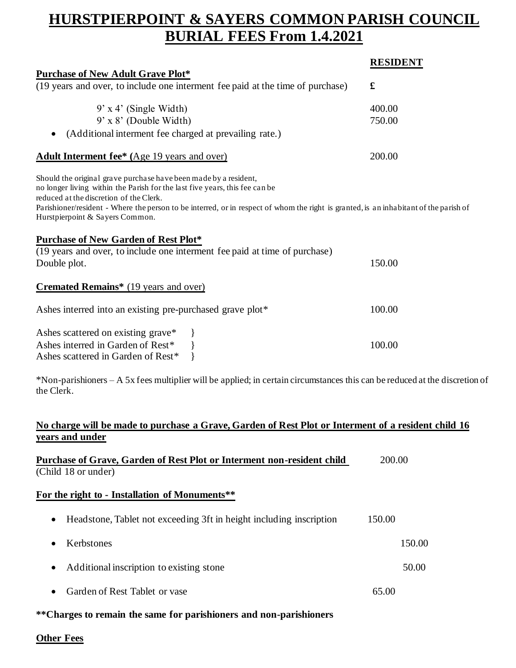# **HURSTPIERPOINT & SAYERS COMMON PARISH COUNCIL BURIAL FEES From 1.4.2021**

|                                                                                                                                                                                                                                                                                                                                                                        | <b>RESIDENT</b> |
|------------------------------------------------------------------------------------------------------------------------------------------------------------------------------------------------------------------------------------------------------------------------------------------------------------------------------------------------------------------------|-----------------|
| <b>Purchase of New Adult Grave Plot*</b>                                                                                                                                                                                                                                                                                                                               |                 |
| (19 years and over, to include one interment fee paid at the time of purchase)                                                                                                                                                                                                                                                                                         | $\mathbf f$     |
| $9'$ x 4' (Single Width)                                                                                                                                                                                                                                                                                                                                               | 400.00          |
| $9'$ x $8'$ (Double Width)                                                                                                                                                                                                                                                                                                                                             | 750.00          |
| (Additional interment fee charged at prevailing rate.)                                                                                                                                                                                                                                                                                                                 |                 |
| Adult Interment fee <sup>*</sup> (Age 19 years and over)                                                                                                                                                                                                                                                                                                               | 200.00          |
| Should the original grave purchase have been made by a resident,<br>no longer living within the Parish for the last five years, this fee can be<br>reduced at the discretion of the Clerk.<br>Parishioner/resident - Where the person to be interred, or in respect of whom the right is granted, is an inhabitant of the parish of<br>Hurstpierpoint & Sayers Common. |                 |
| <b>Purchase of New Garden of Rest Plot*</b>                                                                                                                                                                                                                                                                                                                            |                 |
| (19 years and over, to include one interment fee paid at time of purchase)                                                                                                                                                                                                                                                                                             |                 |
| Double plot.                                                                                                                                                                                                                                                                                                                                                           | 150.00          |
| <b>Cremated Remains*</b> (19 years and over)                                                                                                                                                                                                                                                                                                                           |                 |
| Ashes interred into an existing pre-purchased grave plot*                                                                                                                                                                                                                                                                                                              | 100.00          |
| Ashes scattered on existing grave* }<br>Ashes interred in Garden of Rest* }<br>Ashes scattered in Garden of Rest*                                                                                                                                                                                                                                                      | 100.00          |

\*Non-parishioners – A 5x fees multiplier will be applied; in certain circumstances this can be reduced at the discretion of the Clerk.

## **No charge will be made to purchase a Grave, Garden of Rest Plot or Interment of a resident child 16 years and under**

| Purchase of Grave, Garden of Rest Plot or Interment non-resident child | 200.00 |
|------------------------------------------------------------------------|--------|
| (Child 18 or under)                                                    |        |

#### **For the right to - Installation of Monuments\*\***

|           | • Headstone, Tablet not exceeding 3ft in height including inscription | 150.00 |        |
|-----------|-----------------------------------------------------------------------|--------|--------|
| $\bullet$ | Kerbstones                                                            |        | 150.00 |
|           | • Additional inscription to existing stone                            |        | 50.00  |
| $\bullet$ | Garden of Rest Tablet or vase                                         | 65.00  |        |

## **\*\*Charges to remain the same for parishioners and non-parishioners**

## **Other Fees**